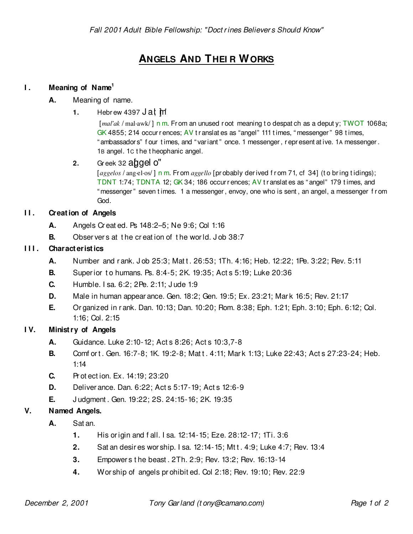# **ANGELS AND THEI R WORKS**

## **I . Meaning of Name<sup>1</sup>**

- **A.** Meaning of name.
	- **1.** Hebrew 4397  $J$  at  $\mathbb{M}$

[*mal'ak* / mal·awk/] n m. From an unused root meaning to despat ch as a deput y; TWOT 1068a; GK 4855; 214 occur r ences;  $AV$  t r anslat es as "angel" 111 t imes, "messenger" 98 t imes, " ambassador s" f our t imes, and " var iant " once. 1 messenger , r epr esent at ive. 1A messenger . 1B angel. 1C t he t heophanic angel.

### **2.** Greek 32  $\alpha$  gives  $\alpha$ "

[aggelos / ang-el·os/] n m. From *aggello* [probably derived from 71, cf 34] (to bring tidings); TDNT 1:74; TDNTA 12; GK 34; 186 occur r ences; AV t r anslat es as " angel" 179 t imes, and " messenger " seven t imes. 1 a messenger , envoy, one who is sent , an angel, a messenger f r om God.

### **II.** Creation of Angels

- **A.** Angels Cr eat ed. Ps 148:2–5; Ne 9:6; Col 1:16
- **B.** Obser ver s at t he cr eat ion of t he wor ld. J ob 38:7

### **I I I . Charact erist ics**

- **A.** Number and rank. Job 25:3; Matt. 26:53; 1Th. 4:16; Heb. 12:22; 1Pe. 3:22; Rev. 5:11
- **B.** Super ior t o humans. Ps. 8:4-5; 2K. 19:35; Act s 5:19; Luke 20:36
- **C.** Humble. I sa. 6:2; 2Pe. 2:11; J ude 1:9
- **D.** Male in human appear ance. Gen. 18:2; Gen. 19:5; Ex. 23:21; Mar k 16:5; Rev. 21:17
- **E.** Or ganized in r ank. Dan. 10:13; Dan. 10:20; Rom. 8:38; Eph. 1:21; Eph. 3:10; Eph. 6:12; Col. 1:16; Col. 2:15

### **I V. Minist ry of Angels**

- **A.** Guidance. Luke 2:10-12; Act s 8:26; Act s 10:3,7-8
- **B.** Comf or t. Gen. 16:7-8; 1K. 19:2-8; Mat t. 4:11; Mar k 1:13; Luke 22:43; Act s 27:23-24; Heb. 1:14
- **C.** Pr ot ect ion. Ex. 14:19; 23:20
- **D.** Deliver ance. Dan. 6:22; Act s 5:17-19; Act s 12:6-9
- **E.** J udgment . Gen. 19:22; 2S. 24:15-16; 2K. 19:35

### **V. Named Angels.**

- **A.** Sat an.
	- **1.** His or igin and f all. I sa. 12:14-15; Eze. 28:12-17; 1Ti. 3:6
	- **2.** Sat an desir es wor ship. I sa. 12:14-15; Mt t . 4:9; Luke 4:7; Rev. 13:4
	- **3.** Empower s t he beast . 2Th. 2:9; Rev. 13:2; Rev. 16:13-14
	- **4.** Wor ship of angels pr ohibit ed. Col 2:18; Rev. 19:10; Rev. 22:9